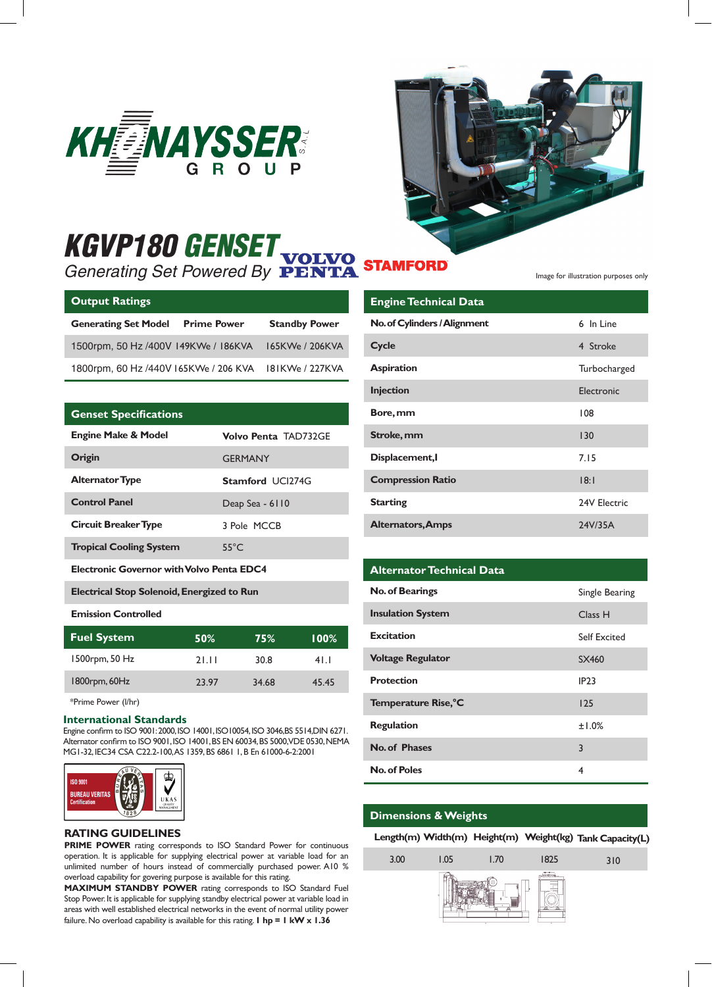



# *KGVP180 GENSET Generating Set Powered By*

| <b>Output Ratings</b>                 |                    |                      |
|---------------------------------------|--------------------|----------------------|
| <b>Generating Set Model</b>           | <b>Prime Power</b> | <b>Standby Power</b> |
| 1500rpm, 50 Hz /400V 149KWe / 186KVA  |                    | 165KWe / 206KVA      |
| 1800rpm, 60 Hz /440V 165KWe / 206 KVA |                    | 181KWe / 227KVA      |

## **Genset Specifications**

| <b>Engine Make &amp; Model</b>                    | Volvo Penta TAD732GE    |  |
|---------------------------------------------------|-------------------------|--|
| Origin                                            | <b>GERMANY</b>          |  |
| <b>Alternator Type</b>                            | <b>Stamford UCI274G</b> |  |
| <b>Control Panel</b>                              | Deap Sea - 6110         |  |
| <b>Circuit Breaker Type</b>                       | 3 Pole MCCB             |  |
| <b>Tropical Cooling System</b>                    | $55^{\circ}$ C          |  |
| <b>Electronic Governor with Volvo Penta EDC4</b>  |                         |  |
| <b>Electrical Stop Solenoid, Energized to Run</b> |                         |  |

#### **Emission Controlled**

| <b>Fuel System</b> | 50%   | 75%   | $100\%$ |
|--------------------|-------|-------|---------|
| 1500rpm, 50 Hz     | 21.11 | 30.8  | 41.1    |
| 1800rpm, 60Hz      | 23.97 | 34.68 | 45.45   |

## \*Prime Power (l/hr)

#### **International Standards**

Engine confirm to ISO 9001: 2000, ISO 14001, ISO10054, ISO 3046,BS 5514,DIN 6271. Alternator confirm to ISO 9001, ISO 14001, BS EN 60034, BS 5000, VDE 0530, NEMA MG1-32, IEC34 CSA C22.2-100, AS 1359, BS 6861 1, B En 61000-6-2:2001



#### **RATING GUIDELINES**

**PRIME POWER** rating corresponds to ISO Standard Power for continuous operation. It is applicable for supplying electrical power at variable load for an unlimited number of hours instead of commercially purchased power. A10 % overload capability for govering purpose is available for this rating.

**MAXIMUM STANDBY POWER** rating corresponds to ISO Standard Fuel Stop Power. It is applicable for supplying standby electrical power at variable load in areas with well established electrical networks in the event of normal utility power failure. No overload capability is available for this rating. **1 hp = 1 kW x 1.36**

Image for illustration purposes only

| <b>Engine Technical Data</b> |              |
|------------------------------|--------------|
| No. of Cylinders / Alignment | 6 In Line    |
| Cycle                        | 4 Stroke     |
| <b>Aspiration</b>            | Turbocharged |
| <b>Injection</b>             | Electronic   |
| Bore, mm                     | 108          |
| Stroke, mm                   | 130          |
| Displacement, I              | 7.15         |
| <b>Compression Ratio</b>     | 18:1         |
| <b>Starting</b>              | 24V Electric |
| <b>Alternators, Amps</b>     | 24V/35A      |

## **Alternator Technical Data**

| <b>No. of Bearings</b>   | Single Bearing |
|--------------------------|----------------|
| <b>Insulation System</b> | Class H        |
| <b>Excitation</b>        | Self Excited   |
| <b>Voltage Regulator</b> | SX460          |
| <b>Protection</b>        | <b>IP23</b>    |
| Temperature Rise, °C     | 125            |
| <b>Regulation</b>        | ±1.0%          |
| No. of Phases            | 3              |
| No. of Poles             | 4              |

## **Dimensions & Weights**

3.00

**Height(m) Width(m) Length(m) Weight(kg) Tank Capacity(L)**

310